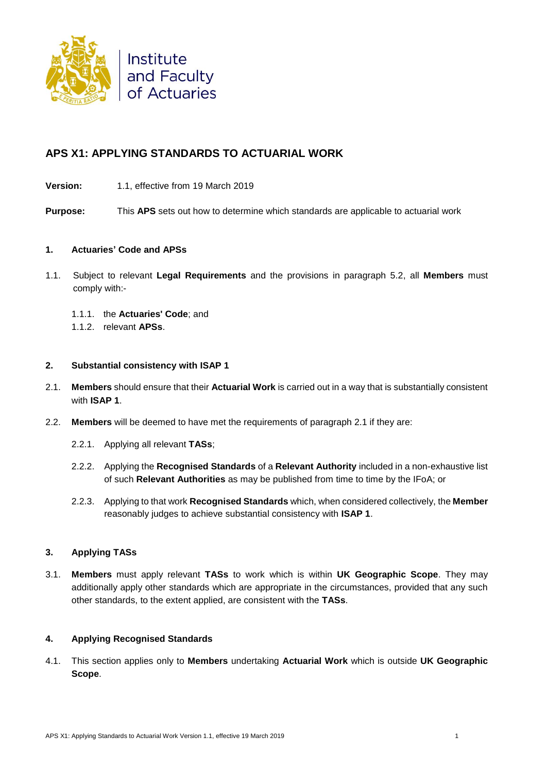

# **APS X1: APPLYING STANDARDS TO ACTUARIAL WORK**

**Version:** 1.1, effective from 19 March 2019

**Purpose:** This **APS** sets out how to determine which standards are applicable to actuarial work

### **1. Actuaries' Code and APSs**

- 1.1. Subject to relevant **Legal Requirements** and the provisions in paragraph 5.2, all **Members** must comply with:-
	- 1.1.1. the **Actuaries' Code**; and
	- 1.1.2. relevant **APSs**.

### **2. Substantial consistency with ISAP 1**

- 2.1. **Members** should ensure that their **Actuarial Work** is carried out in a way that is substantially consistent with **ISAP 1**.
- 2.2. **Members** will be deemed to have met the requirements of paragraph 2.1 if they are:
	- 2.2.1. Applying all relevant **TASs**;
	- 2.2.2. Applying the **Recognised Standards** of a **Relevant Authority** included in a non-exhaustive list of such **Relevant Authorities** as may be published from time to time by the IFoA; or
	- 2.2.3. Applying to that work **Recognised Standards** which, when considered collectively, the **Member** reasonably judges to achieve substantial consistency with **ISAP 1**.

### **3. Applying TASs**

3.1. **Members** must apply relevant **TASs** to work which is within **UK Geographic Scope**. They may additionally apply other standards which are appropriate in the circumstances, provided that any such other standards, to the extent applied, are consistent with the **TASs**.

# **4. Applying Recognised Standards**

4.1. This section applies only to **Members** undertaking **Actuarial Work** which is outside **UK Geographic Scope**.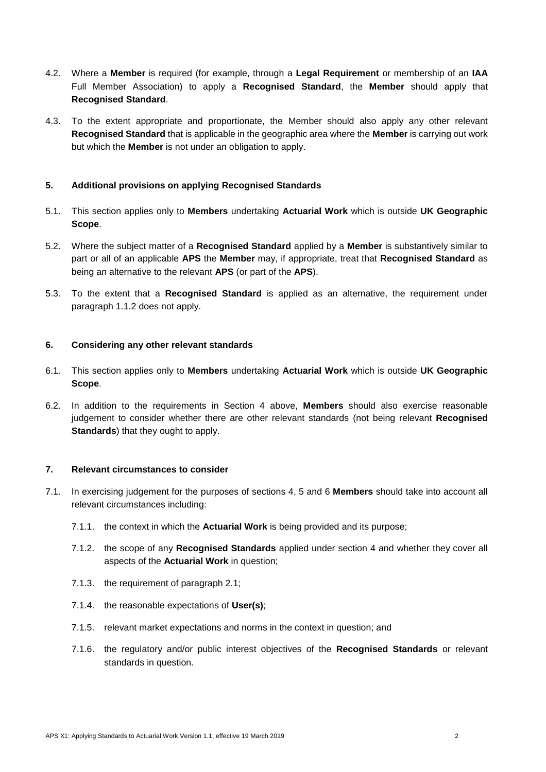- 4.2. Where a **Member** is required (for example, through a **Legal Requirement** or membership of an **IAA** Full Member Association) to apply a **Recognised Standard**, the **Member** should apply that **Recognised Standard**.
- 4.3. To the extent appropriate and proportionate, the Member should also apply any other relevant **Recognised Standard** that is applicable in the geographic area where the **Member** is carrying out work but which the **Member** is not under an obligation to apply.

# **5. Additional provisions on applying Recognised Standards**

- 5.1. This section applies only to **Members** undertaking **Actuarial Work** which is outside **UK Geographic Scope**.
- 5.2. Where the subject matter of a **Recognised Standard** applied by a **Member** is substantively similar to part or all of an applicable **APS** the **Member** may, if appropriate, treat that **Recognised Standard** as being an alternative to the relevant **APS** (or part of the **APS**).
- 5.3. To the extent that a **Recognised Standard** is applied as an alternative, the requirement under paragraph 1.1.2 does not apply.

#### **6. Considering any other relevant standards**

- 6.1. This section applies only to **Members** undertaking **Actuarial Work** which is outside **UK Geographic Scope**.
- 6.2. In addition to the requirements in Section 4 above, **Members** should also exercise reasonable judgement to consider whether there are other relevant standards (not being relevant **Recognised Standards**) that they ought to apply.

#### **7. Relevant circumstances to consider**

- 7.1. In exercising judgement for the purposes of sections 4, 5 and 6 **Members** should take into account all relevant circumstances including:
	- 7.1.1. the context in which the **Actuarial Work** is being provided and its purpose;
	- 7.1.2. the scope of any **Recognised Standards** applied under section 4 and whether they cover all aspects of the **Actuarial Work** in question;
	- 7.1.3. the requirement of paragraph 2.1;
	- 7.1.4. the reasonable expectations of **User(s)**;
	- 7.1.5. relevant market expectations and norms in the context in question; and
	- 7.1.6. the regulatory and/or public interest objectives of the **Recognised Standards** or relevant standards in question.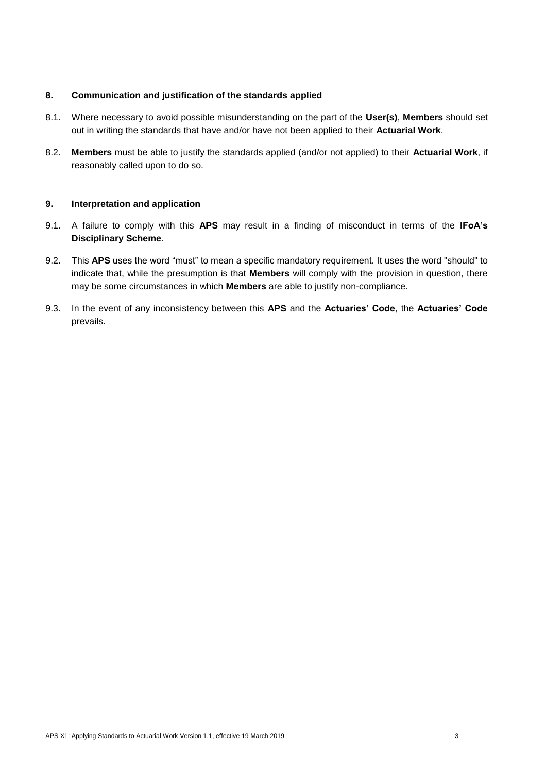### **8. Communication and justification of the standards applied**

- 8.1. Where necessary to avoid possible misunderstanding on the part of the **User(s)**, **Members** should set out in writing the standards that have and/or have not been applied to their **Actuarial Work**.
- 8.2. **Members** must be able to justify the standards applied (and/or not applied) to their **Actuarial Work**, if reasonably called upon to do so.

#### **9. Interpretation and application**

- 9.1. A failure to comply with this **APS** may result in a finding of misconduct in terms of the **IFoA's Disciplinary Scheme**.
- 9.2. This **APS** uses the word "must" to mean a specific mandatory requirement. It uses the word "should" to indicate that, while the presumption is that **Members** will comply with the provision in question, there may be some circumstances in which **Members** are able to justify non-compliance.
- 9.3. In the event of any inconsistency between this **APS** and the **Actuaries' Code**, the **Actuaries' Code** prevails.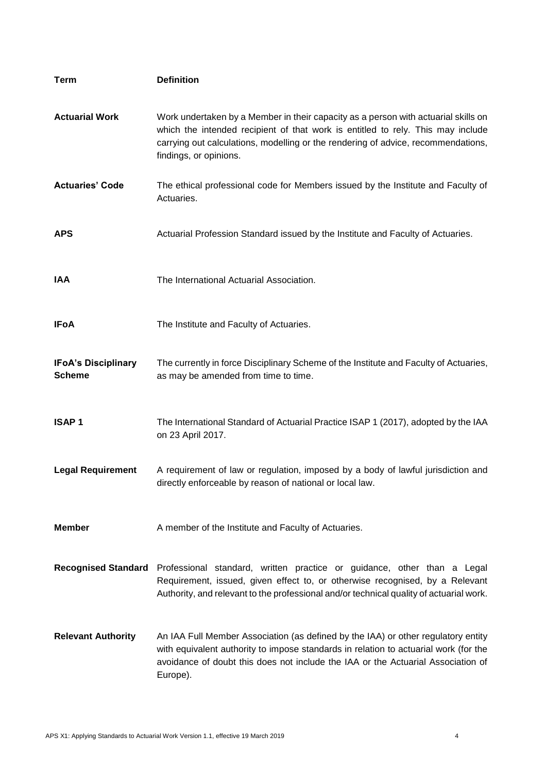| <b>Term</b>                                 | <b>Definition</b>                                                                                                                                                                                                                                                         |
|---------------------------------------------|---------------------------------------------------------------------------------------------------------------------------------------------------------------------------------------------------------------------------------------------------------------------------|
| <b>Actuarial Work</b>                       | Work undertaken by a Member in their capacity as a person with actuarial skills on<br>which the intended recipient of that work is entitled to rely. This may include                                                                                                     |
|                                             | carrying out calculations, modelling or the rendering of advice, recommendations,<br>findings, or opinions.                                                                                                                                                               |
| <b>Actuaries' Code</b>                      | The ethical professional code for Members issued by the Institute and Faculty of<br>Actuaries.                                                                                                                                                                            |
| <b>APS</b>                                  | Actuarial Profession Standard issued by the Institute and Faculty of Actuaries.                                                                                                                                                                                           |
| IAA                                         | The International Actuarial Association.                                                                                                                                                                                                                                  |
| <b>IFoA</b>                                 | The Institute and Faculty of Actuaries.                                                                                                                                                                                                                                   |
| <b>IFoA's Disciplinary</b><br><b>Scheme</b> | The currently in force Disciplinary Scheme of the Institute and Faculty of Actuaries,<br>as may be amended from time to time.                                                                                                                                             |
| <b>ISAP1</b>                                | The International Standard of Actuarial Practice ISAP 1 (2017), adopted by the IAA<br>on 23 April 2017.                                                                                                                                                                   |
| <b>Legal Requirement</b>                    | A requirement of law or regulation, imposed by a body of lawful jurisdiction and<br>directly enforceable by reason of national or local law.                                                                                                                              |
| <b>Member</b>                               | A member of the Institute and Faculty of Actuaries.                                                                                                                                                                                                                       |
|                                             | Recognised Standard Professional standard, written practice or guidance, other than a Legal<br>Requirement, issued, given effect to, or otherwise recognised, by a Relevant<br>Authority, and relevant to the professional and/or technical quality of actuarial work.    |
| <b>Relevant Authority</b>                   | An IAA Full Member Association (as defined by the IAA) or other regulatory entity<br>with equivalent authority to impose standards in relation to actuarial work (for the<br>avoidance of doubt this does not include the IAA or the Actuarial Association of<br>Europe). |